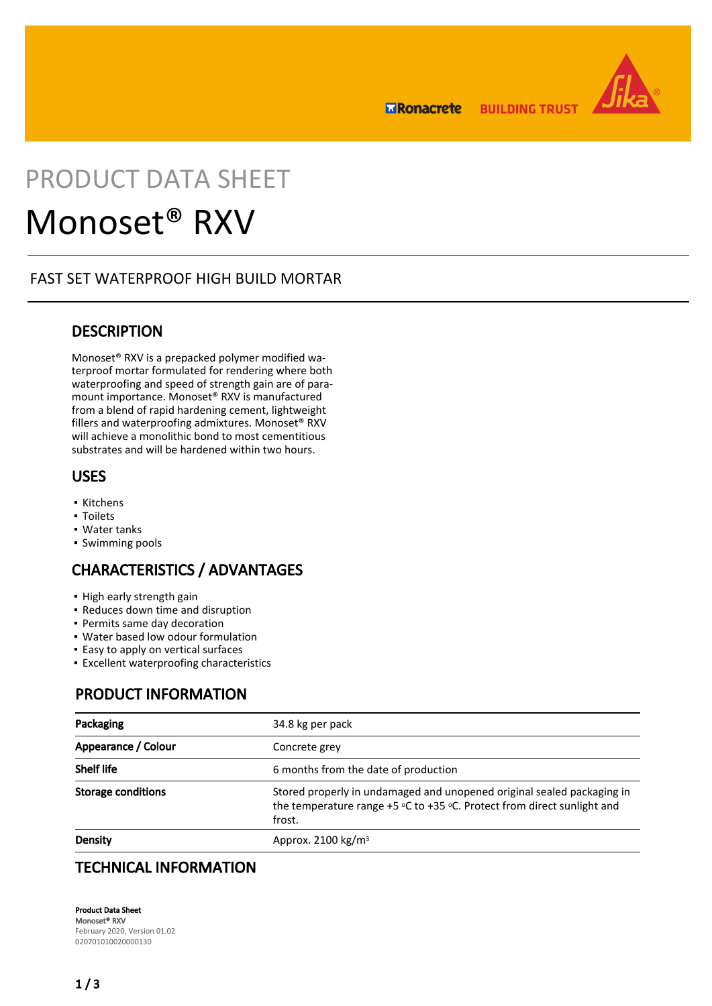**ERonacrete BUILDING TRUST** 



## PRODUCT DATA SHEET

# Monoset® RXV

## FAST SET WATERPROOF HIGH BUILD MORTAR

## **DESCRIPTION**

Monoset® RXV is a prepacked polymer modified waterproof mortar formulated for rendering where both waterproofing and speed of strength gain are of paramount importance. Monoset® RXV is manufactured from a blend of rapid hardening cement, lightweight fillers and waterproofing admixtures. Monoset® RXV will achieve a monolithic bond to most cementitious substrates and will be hardened within two hours.

## USES

- Kitchens
- Toilets
- Water tanks
- Swimming pools

## CHARACTERISTICS / ADVANTAGES

- **· High early strength gain**
- Reduces down time and disruption
- Permits same day decoration
- Water based low odour formulation
- **Easy to apply on vertical surfaces**
- **Excellent waterproofing characteristics**

## PRODUCT INFORMATION

| Packaging                 | 34.8 kg per pack                                                                                                                                                |  |
|---------------------------|-----------------------------------------------------------------------------------------------------------------------------------------------------------------|--|
| Appearance / Colour       | Concrete grev                                                                                                                                                   |  |
| <b>Shelf life</b>         | 6 months from the date of production                                                                                                                            |  |
| <b>Storage conditions</b> | Stored properly in undamaged and unopened original sealed packaging in<br>the temperature range $+5$ °C to $+35$ °C. Protect from direct sunlight and<br>frost. |  |
| Density                   | Approx. 2100 $kg/m3$                                                                                                                                            |  |

## TECHNICAL INFORMATION

Product Data Sheet Monoset® RXV February 2020, Version 01.02 020701010020000130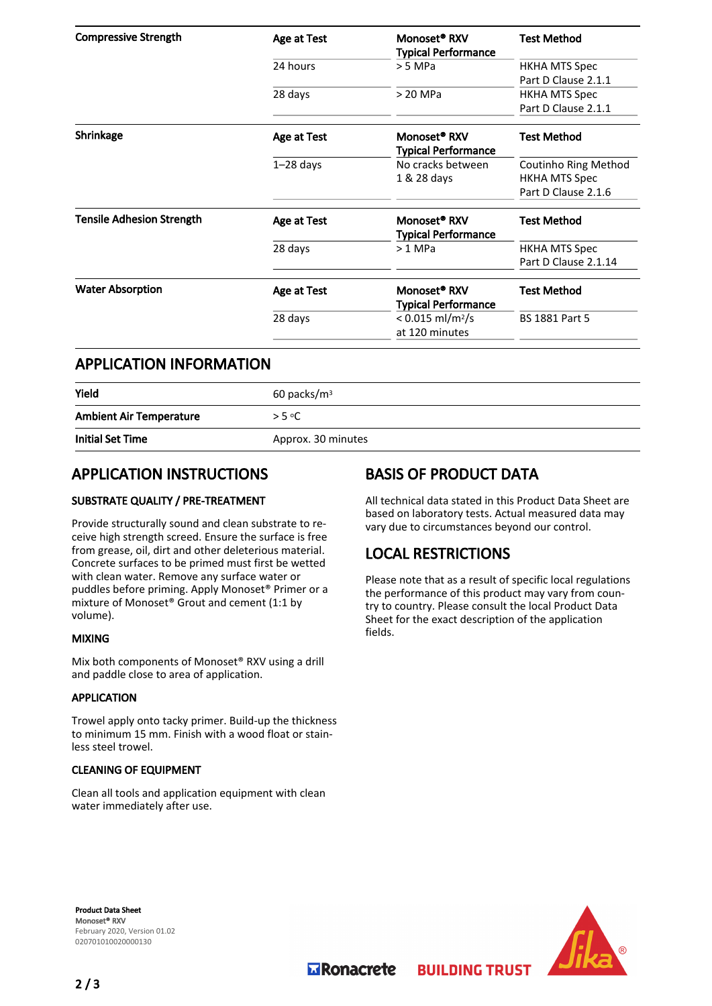| <b>Compressive Strength</b>      | Age at Test | Monoset <sup>®</sup> RXV<br><b>Typical Performance</b> | <b>Test Method</b>    |
|----------------------------------|-------------|--------------------------------------------------------|-----------------------|
|                                  | 24 hours    | $> 5$ MPa                                              | <b>HKHA MTS Spec</b>  |
|                                  |             |                                                        | Part D Clause 2.1.1   |
|                                  | 28 days     | > 20 MPa                                               | <b>HKHA MTS Spec</b>  |
|                                  |             |                                                        | Part D Clause 2.1.1   |
| Shrinkage                        | Age at Test | Monoset <sup>®</sup> RXV<br><b>Typical Performance</b> | <b>Test Method</b>    |
|                                  | $1-28$ days | No cracks between                                      | Coutinho Ring Method  |
|                                  |             | 1 & 28 days                                            | <b>HKHA MTS Spec</b>  |
|                                  |             |                                                        | Part D Clause 2.1.6   |
| <b>Tensile Adhesion Strength</b> | Age at Test | Monoset <sup>®</sup> RXV<br><b>Typical Performance</b> | <b>Test Method</b>    |
|                                  | 28 days     | $>1$ MPa                                               | <b>HKHA MTS Spec</b>  |
|                                  |             |                                                        | Part D Clause 2.1.14  |
| <b>Water Absorption</b>          | Age at Test | Monoset <sup>®</sup> RXV<br><b>Typical Performance</b> | <b>Test Method</b>    |
|                                  | 28 days     | $< 0.015$ ml/m <sup>2</sup> /s<br>at 120 minutes       | <b>BS 1881 Part 5</b> |
|                                  |             |                                                        |                       |

### APPLICATION INFORMATION

| Yield                          | $60$ packs/m <sup>3</sup> |
|--------------------------------|---------------------------|
| <b>Ambient Air Temperature</b> | > 5 °C                    |
| <b>Initial Set Time</b>        | Approx. 30 minutes        |

## APPLICATION INSTRUCTIONS

#### SUBSTRATE QUALITY / PRE-TREATMENT

Provide structurally sound and clean substrate to receive high strength screed. Ensure the surface is free from grease, oil, dirt and other deleterious material. Concrete surfaces to be primed must first be wetted with clean water. Remove any surface water or puddles before priming. Apply Monoset® Primer or a mixture of Monoset® Grout and cement (1:1 by volume).

#### MIXING

Mix both components of Monoset® RXV using a drill and paddle close to area of application.

#### APPLICATION

Trowel apply onto tacky primer. Build-up the thickness to minimum 15 mm. Finish with a wood float or stainless steel trowel.

#### CLEANING OF EQUIPMENT

Clean all tools and application equipment with clean water immediately after use.

## BASIS OF PRODUCT DATA

All technical data stated in this Product Data Sheet are based on laboratory tests. Actual measured data may vary due to circumstances beyond our control.

## LOCAL RESTRICTIONS

Please note that as a result of specific local regulations the performance of this product may vary from country to country. Please consult the local Product Data Sheet for the exact description of the application fields.

**BUILDING TRUST** 

Product Data Sheet Monoset® RXV February 2020, Version 01.02 020701010020000130



**Transporter**